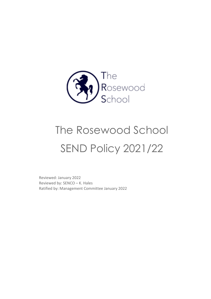

# The Rosewood School SEND Policy 2021/22

Reviewed: January 2022 Reviewed by: SENCO – K. Hales Ratified by: Management Committee January 2022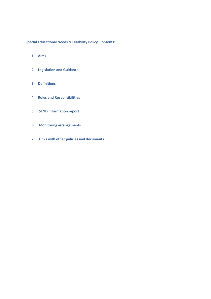**Special Educational Needs & Disability Policy Contents:** 

- **1. Aims**
- **2. Legislation and Guidance**
- **3. Definitions**
- **4. Roles and Responsibilities**
- **5. SEND information report**
- **6. Monitoring arrangements**
- **7. Links with other policies and documents**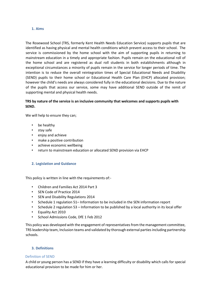#### **1. Aims**

The Rosewood School (TRS, formerly Kent Health Needs Education Service) supports pupils that are identified as having physical and mental health conditions which prevent access to their school. The service is commissioned by the home school with the aim of supporting pupils in returning to mainstream education in a timely and appropriate fashion. Pupils remain on the educational roll of the home school and are registered as dual roll students in both establishments although in exceptional circumstances a minority of pupils remain in the service for longer periods of time. The intention is to reduce the overall reintegration times of Special Educational Needs and Disability (SEND) pupils to their home school or Educational Health Care Plan (EHCP) allocated provision; however the child's needs are always considered fully in the educational decisions. Due to the nature of the pupils that access our service, some may have additional SEND outside of the remit of supporting mental and physical health needs.

# **TRS by nature of the service is an inclusive community that welcomes and supports pupils with SEND.**

We will help to ensure they can:

- be healthy
- stay safe
- enjoy and achieve
- make a positive contribution
- achieve economic wellbeing
- return to mainstream education or allocated SEND provision via EHCP

#### **2. Legislation and Guidance**

This policy is written in line with the requirements of:-

- Children and Families Act 2014 Part 3
- SEN Code of Practice 2014
- SEN and Disability Regulations 2014
- Schedule 1 regulation 51– Information to be included in the SEN information report
- Schedule 2 regulation 53 Information to be published by a local authority in its local offer
- Equality Act 2010
- School Admissions Code, DfE 1 Feb 2012

This policy was developed with the engagement of representatives from the management committee, TRS leadership team, Inclusion teams and validated by thorough external parties including partnership schools.

#### **3. Definitions**

#### Definition of SEND

A child or young person has a SEND if they have a learning difficulty or disability which calls for special educational provision to be made for him or her.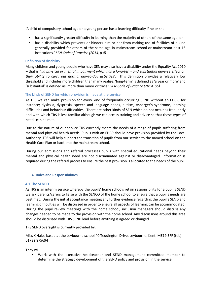'A child of compulsory school age or a young person has a learning difficulty if he or she:

- has a significantly greater difficulty in learning than the majority of others of the same age; or
- has a disability which prevents or hinders him or her from making use of facilities of a kind generally provided for others of the same age in mainstream school or mainstream post-16 institutions.' *SEN Code of Practice (2014, p 4)*

## Definition of disability

Many children and young people who have SEN may also have a disability under the Equality Act 2010 – that is *'…a physical or mental impairment which has a long-term and substantial adverse effect on their ability to carry out normal day-to-day activities'.* This definition provides a relatively low threshold and includes more children than many realise: 'long-term' is defined as 'a year or more' and 'substantial' is defined as 'more than minor or trivial' *SEN Code of Practice (2014, p5)* 

## The kinds of SEND for which provision is made at the service

At TRS we can make provision for every kind of frequently occurring SEND without an EHCP, for instance; dyslexia, dyspraxia, speech and language needs, autism, Asperger's syndrome, learning difficulties and behaviour difficulties. There are other kinds of SEN which do not occur as frequently and with which TRS is less familiar although we can access training and advice so that these types of needs can be met.

Due to the nature of our service TRS currently meets the needs of a range of pupils suffering from mental and physical health needs. Pupils with an EHCP should have provision provided by the Local Authority. TRS will help support the transition of pupils from our service to the named school on the Health Care Plan or back into the mainstream school.

During our admissions and referral processes pupils with special educational needs beyond their mental and physical health need are not discriminated against or disadvantaged. Information is required during the referral process to ensure the best provision is allocated to the needs of the pupil.

#### **4. Roles and Responsibilities**

#### **4.1 The SENCO**

As TRS is an interim service whereby the pupils' home schools retain responsibility for a pupil's SEND we ask parents/carers to liaise with the SENCO of the home school to ensure that a pupil's needs are best met. During the initial acceptance meeting any further evidence regarding the pupil's SEND and learning difficulties will be discussed in order to ensure all aspects of learning can be accommodated. During the pupil review meetings with the home school, inclusion managers should discuss any changes needed to be made to the provision with the home school. Any discussions around this area should be discussed with TRS SEND lead before anything is agreed or changed.

TRS SEND oversight is currently provided by:

Miss K Hales based at the Leybourne school 40 Teddington Drive, Leybourne, Kent, ME19 5FF (tel.) 01732 875694

They will:

• Work with the executive headteacher and SEND management committee member to determine the strategic development of the SEND policy and provision in the service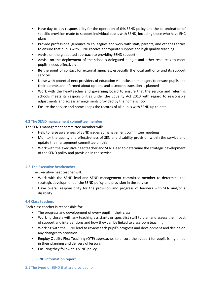- Have day-to-day responsibility for the operation of this SEND policy and the co-ordination of specific provision made to support individual pupils with SEND, including those who have EHC plans
- Provide professional guidance to colleagues and work with staff, parents, and other agencies to ensure that pupils with SEND receive appropriate support and high quality teaching
- Advise on the graduated approach to providing SEND support
- Advise on the deployment of the school's delegated budget and other resources to meet pupils' needs effectively
- Be the point of contact for external agencies, especially the local authority and its support services
- Liaise with potential next providers of education via inclusion managers to ensure pupils and their parents are informed about options and a smooth transition is planned
- Work with the headteacher and governing board to ensure that the service and referring schools meets its responsibilities under the Equality Act 2010 with regard to reasonable adjustments and access arrangements provided by the home school
- Ensure the service and home keeps the records of all pupils with SEND up to date

## **4.2 The SEND management committee member**

The SEND management committee member will:

- Help to raise awareness of SEND issues at management committee meetings
- Monitor the quality and effectiveness of SEN and disability provision within the service and update the management committee on this
- Work with the executive headteacher and SEND lead to determine the strategic development of the SEND policy and provision in the service

# **4.3 The Executive headteacher**

The Executive headteacher will:

- Work with the SEND lead and SEND management committee member to determine the strategic development of the SEND policy and provision in the service
- Have overall responsibility for the provision and progress of learners with SEN and/or a disability

#### **4.4 Class teachers**

Each class teacher is responsible for:

- The progress and development of every pupil in their class
- Working closely with any teaching assistants or specialist staff to plan and assess the impact of support and interventions and how they can be linked to classroom teaching
- Working with the SEND lead to review each pupil's progress and development and decide on any changes to provision
- Employ Quality First Teaching (QTF) approaches to ensure the support for pupils is ingrained in their planning and delivery of lessons
- Ensuring they follow this SEND policy

# 5. **SEND information report**

#### 5.1 The types of SEND that are provided for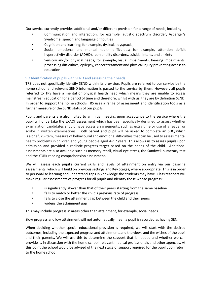Our service currently provides additional and/or different provision for a range of needs, including:

- Communication and interaction; for example, autistic spectrum disorder, Asperger's Syndrome, speech and language difficulties
- Cognition and learning; for example, dyslexia, dyspraxia,
- Social, emotional and mental health difficulties; for example, attention deficit hyperactivity disorder (ADHD), personality disorders, suicidal intent, and anxiety
- Sensory and/or physical needs; for example, visual impairments, hearing impairments, processing difficulties, epilepsy, cancer treatment and physical injury preventing access to education

# 5.2 Identification of pupils with SEND and assessing their needs

TRS does not specifically identify SEND within its provision. Pupils are referred to our service by the home school and relevant SEND information is passed to the service by them. However, all pupils referred to TRS have a mental or physical health need which means they are unable to access mainstream education for a period of time and therefore, whilst with us, they are by definition SEND. In order to support the home schools TRS uses a range of assessment and identification tools as a further measure of the SEND status of our pupils.

Pupils and parents are also invited to an initial meeting upon acceptance to the service where the pupil will undertake the EXACT assessment which has been specifically designed to assess whether examination candidates should have access arrangements, such as extra time or use of a reader or scribe in written examinations. Both parent and pupil will be asked to complete an SDQ which is a brief, 25-item, measure of behavioural and emotional difficulties that can be used to assess mental health problems in children and young people aged 4–17 years. This allows us to assess pupils upon admission and provided a realistic progress target based on the needs of the child. Additional assessments are also available such as memory recall, visual eye stress, the Sandwell numeracy test and the YORK reading comprehension assessment.

We will assess each pupil's current skills and levels of attainment on entry via our baseline assessments, which will build on previous settings and Key Stages, where appropriate. This is in order to personalise learning and understand gaps in knowledge the students may have. Class teachers will make regular assessments of progress for all pupils and identify those whose progress:

- is significantly slower than that of their peers starting from the same baseline
- fails to match or better the child's previous rate of progress
- fails to close the attainment gap between the child and their peers
- widens the attainment gap

This may include progress in areas other than attainment, for example, social needs.

Slow progress and low attainment will not automatically mean a pupil is recorded as having SEN.

When deciding whether special educational provision is required, we will start with the desired outcomes, including the expected progress and attainment, and the views and the wishes of the pupil and their parents. We will use this to determine the support that is needed and whether we can provide it, in discussion with the home school, relevant medical professionals and other agencies. At this point the school would be advised of the next stage of support required for the pupil upon return to the home school.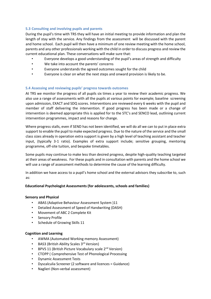## **5.3 Consulting and involving pupils and parents**

During the pupil's time with TRS they will have an initial meeting to provide information and plan the length of stay with the service. Any findings from the assessment will be discussed with the parent and home school. Each pupil will then have a minimum of one review meeting with the home school, parents and any other professionals working with the child in order to discuss progress and review the current educational plan. These conversations will make sure that:

- Everyone develops a good understanding of the pupil's areas of strength and difficulty
- We take into account the parents' concerns
- Everyone understands the agreed outcomes sought for the child
- Everyone is clear on what the next steps and onward provision is likely to be.

# **5.4 Assessing and reviewing pupils' progress towards outcomes**

At TRS we monitor the progress of all pupils six times a year to review their academic progress. We also use a range of assessments with all the pupils at various points for example; baseline screening upon admission, EXACT and SDQ scores. Interventions are reviewed every 6 weeks with the pupil and member of staff delivering the intervention. If good progress has been made or a change of intervention is deemed appropriate this is applied for to the STC's and SENCO lead, outlining current intervention programmes, impact and reasons for change.

Where progress stalls, even if SEND has not been identified, we will do all we can to put in place extra support to enable the pupil to make expected progress. Due to the nature of the service and the small class sizes already in operation extra support is given by a high level of teaching assistant and teacher input, (typically 3-1 ratio). Examples of extra support include; sensitive grouping, mentoring programme, off-site tuition, and bespoke timetables.

Some pupils may continue to make less than desired progress, despite high-quality teaching targeted at their areas of weakness. For these pupils and in consultation with parents and the home school we will use a range of assessment methods to determine the cause of the learning difficulty.

In addition we have access to a pupil's home school and the external advisors they subscribe to, such as:

#### **Educational Psychologist Assessments (for adolescents, schools and families)**

#### **Sensory and Physical**

- ABAS (Adaptive Behaviour Assessment System )11
- Detailed Assessment of Speed of Handwriting (DASH)
- Movement of ABC 2 Complete Kit
- Sensory Profile
- Schedule of Growing Skills 11

#### **Cognition and Learning**

- AWMA (Automated Working memory Assessment)
- BAS3 (British Ability Scales 3<sup>rd</sup> Version)
- BPVS 11 (British Picture Vocabulary scale 2nd Version)
- CTOPP ( Comprehensive Test of Phonological Processing
- Dynamic Assessment Tests
- Dyscalculia Screener (2 software and licences = Guidance)
- Naglieri (Non-verbal assessment)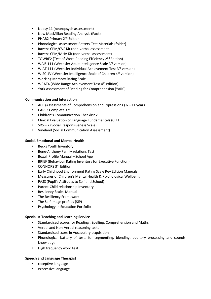- Nepsy 11 (neuropsych assessment)
- New MacMillan Reading Analysis (Pack)
- PHAB2 Primary 2<sup>nd</sup> Edition
- Phonological assessment Battery Test Materials (folder)
- Ravens CPM/CVS Kit (non-verbal assessment
- Ravens CPM/MHV Kit (non-verbal assessment)
- TOWRE2 (Test of Word Reading Efficiency 2<sup>nd</sup> Edition)
- WAIS 111 (Wechsler Adult Intelligence Scale 3<sup>rd</sup> version)
- WIAT 111 (Wechsler Individual Achievement Test 3<sup>rd</sup> version)
- WISC 1V (Wechsler Intelligence Scale of Children 4<sup>th</sup> version)
- Working Memory Rating Scale
- WRAT4 (Wide Range Achievement Test  $4<sup>th</sup>$  edition)
- York Assessment of Reading for Comprehension (YARC)

## **Communication and Interaction**

- ACE (Assessments of Comprehension and Expressions )  $6 11$  years
- CARS2 Complete Kit
- Children's Communication Checklist 2
- Clinical Evaluation of Language Fundamentals (CELF
- SRS 2 (Social Responsiveness Scale)
- Vineland (Social Communication Assessment)

#### **Social, Emotional and Mental Health**

- Becks Youth Inventory
- Bene-Anthony Family relations Test
- Boxall Profile Manual School Age
- BRIEF (Behaviour Rating Inventory for Executive Function)
- CONNORS 3<sup>rd</sup> Edition
- Early Childhood Environment Rating Scale Rev Edition Manuals
- Measures of Children's Mental Health & Psychological Wellbeing
- PASS (Pupil's Attitudes to Self and School)
- Parent-Child relationship Inventory
- Resiliency Scales Manual
- The Resiliency Framework
- The Self Image profiles (SIP)
- Psychology in Education Portfolio

#### **Specialist Teaching and Learning Service**

- Standardised scores for Reading , Spelling, Comprehension and Maths
- Verbal and Non-Verbal reasoning tests
- Standardised score in Vocabulary acquisition
- Phonological battery of tests for segmenting, blending, auditory processing and sounds knowledge
- High frequency word test

#### **Speech and Language Therapist**

- receptive language
- expressive language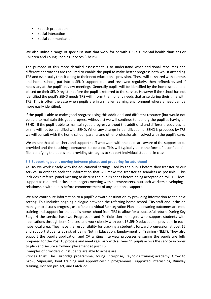- speech production
- social interaction
- social communication

We also utilise a range of specialist staff that work for or with TRS e.g. mental health clinicians or Children and Young Peoples Services (ChYPS).

The purpose of this more detailed assessment is to understand what additional resources and different approaches are required to enable the pupil to make better progress both whilst attending TRS and eventually transitioning to their next educational provision. These will be shared with parents and home school, put into a SEND support plan and reviewed regularly, then refined/revised if necessary at the pupil's review meetings. Generally pupils will be identified by the home school and placed on their SEND register before the pupil is referred to the service. However if the school has not identified the pupil's SEND needs TRS will inform them of any needs that arise during their time with TRS. This is often the case when pupils are in a smaller learning environment where a need can be more easily identified.

If the pupil is able to make good progress using this additional and different resource (but would not be able to maintain this good progress without it) we will continue to identify the pupil as having an SEND. If the pupil is able to maintain good progress without the additional and different resources he or she will not be identified with SEND. When any change in identification of SEND is proposed by TRS we will consult with the home school, parents and other professionals involved with the pupil's care.

We ensure that all teachers and support staff who work with the pupil are aware of the support to be provided and the teaching approaches to be used. This will typically be in the form of a confidential file identifying the pupils and providing strategies to support individual students in class.

#### **5.5 Supporting pupils moving between phases and preparing for adulthood**

At TRS we work closely with the educational settings used by the pupils before they transfer to our service, in order to seek the information that will make the transfer as seamless as possible. This includes a referral panel meeting to discuss the pupil's needs before being accepted on roll, TRS level support as required, inclusion managers meeting with parents/carers, outreach workers developing a relationship with pupils before commencement of any additional support.

We also contribute information to a pupil's onward destination by providing information to the next setting. This includes ongoing dialogue between the referring home school, TRS staff and inclusion manager to discuss progress, use of the Individual Reintegration Plan and ensuring outcomes are met, training and support for the pupil's home school from TRS to allow for a successful return. During Key Stage 4 the service has two Progression and Participation managers who support students with applications through Kent Choices, and work closely with post 16 SEND educational providers in each hubs local area. They have the responsibility for tracking a student's forward progression at post 16 and support students at risk of being Not in Education, Employment or Training (NEET). They also support the pupil's application and CV writing interview processes ensuring the pupils are fully prepared for the Post 16 process and meet regularly with all year 11 pupils across the service in order to plan and secure a forward placement at post 16.

Examples of providers our students are able to access are:

Princes Trust, The Fairbridge programme, Young Enterprise, Reynolds training academy, Grow to Grow, Superjam, Kent training and apprenticeship programmes, supported internships, Runway training, Horizon project, and Catch 22.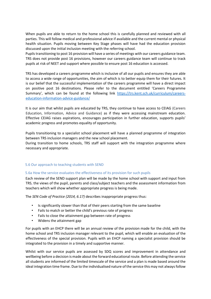When pupils are able to return to the home school this is carefully planned and reviewed with all parties. This will follow medical and professional advice if available and the current mental or physical health situation. Pupils moving between Key Stage phases will have had the education provision discussed upon the initial inclusion meeting with the referring school.

Pupils transitioning to post 16 provision will have a series of meetings with our careers guidance team. TRS does not provide post 16 provisions, however our careers guidance team will continue to track pupils at risk of NEET and support where possible to ensure post 16 education is accessed.

TRS has developed a careers programme which is inclusive of all our pupils and ensures they are able to access a wide range of opportunities, the aim of which is to better equip them for their futures. It is our belief that the successful implementation of the careers programme will have a direct impact on positive post 16 destinations. Please refer to the document entitled 'Careers Programme Summary', which can be found at the following link [https://trs.kent.sch.uk/curriculum/careers](https://trs.kent.sch.uk/curriculum/careers-education-information-advice-guidance/)[education-information-advice-guidance/](https://trs.kent.sch.uk/curriculum/careers-education-information-advice-guidance/)

It is our aim that whilst pupils are educated by TRS, they continue to have access to CEIAG (Careers Education, Information, Advice and Guidance) as if they were accessing mainstream education. Effective CEIAG raises aspirations, encourages participation in further education, supports pupils' academic progress and promotes equality of opportunity.

Pupils transitioning to a specialist school placement will have a planned programme of integration between TRS inclusion managers and the new school placement.

During transition to home schools, TRS staff will support with the integration programme where necessary and appropriate.

#### 5.6 Our approach to teaching students with SEND

#### 5.6a How the service evaluates the effectiveness of its provision for such pupils

Each review of the SEND support plan will be made by the home school with support and input from TRS, the views of the pupil, parents and class/subject teachers and the assessment information from teachers which will show whether appropriate progress is being made.

The *SEN Code of Practice (2014, 6.17)* describes inappropriate progress thus:

- Is significantly slower than that of their peers starting from the same baseline
- Fails to match or better the child's previous rate of progress
- Fails to close the attainment gap between rate of progress
- Widens the attainment gap

For pupils with an EHCP there will be an annual review of the provision made for the child, with the home school and TRS inclusion manager relevant to the pupil, which will enable an evaluation of the effectiveness of the special provision. Pupils with an EHCP naming a specialist provision should be integrated to the provision in a timely and supportive manner.

Whilst with our service pupils are assessed by SDQ scores and improvement in attendance and wellbeing before a decision is made about the forward educational route. Before attending the service all students are informed of the limited timescale of the service and a plan is made based around the ideal integration time frame. Due to the individualised nature of the service this may not always follow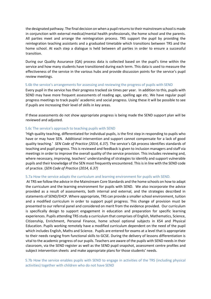the designated pathway. The final decision on when a pupil returns to their mainstream school is made in conjunction with external medical/mental health professionals, the home school and the parents. All parties meet and arrange the reintegration process. TRS support the pupil by providing the reintegration teaching assistants and a graduated timetable which transitions between TRS and the home school. At each step a dialogue is held between all parties in order to ensure a successful transition.

During our Quality Assurance (QA) process data is collected based on the pupil's time within the service and how many students have transitioned during each term. This data is used to measure the effectiveness of the service in the various hubs and provide discussion points for the service's pupil review meetings.

#### 5.6b the service's arrangements for assessing and reviewing the progress of pupils with SEND

Every pupil in the service has their progress tracked six times per year. In addition to this, pupils with SEND may have more frequent assessments of reading age, spelling age etc. We have regular pupil progress meetings to track pupils' academic and social progress. Using these it will be possible to see if pupils are increasing their level of skills in key areas.

If these assessments do not show appropriate progress is being made the SEND support plan will be reviewed and adjusted.

#### 5.6c The service's approach to teaching pupils with SEND

'High quality teaching, differentiated for individual pupils, is the first step in responding to pupils who have or may have SEN. Additional intervention and support cannot compensate for a lack of good quality teaching.' *SEN Code of Practice (2014, 6.37).* The service's QA process identifies standards of teaching and pupil progress. This is reviewed and feedback is given to inclusion managers and staff via meetings in order to improve the overall quality of the service provision. This includes reviewing and, where necessary, improving, teachers' understanding of strategies to identify and support vulnerable pupils and their knowledge of the SEN most frequently encountered. This is in line with the SEND code of practice. (*SEN Code of Practice (2014, 6.37)* 

#### 5.7a How the service adapts the curriculum and learning environment for pupils with SEND.

At TRS we follow the advice in the Mainstream Core Standards and the home schools on how to adapt the curriculum and the learning environment for pupils with SEND. We also incorporate the advice provided as a result of assessments, both internal and external, and the strategies described in statements of SEND/EHCP. Where appropriate, TRS can provide a smaller school environment, tuition and a modified curriculum in order to support pupil progress. This change of provision must be presented to our referral panel and considered on merit from the evidence provided. Our curriculum is specifically design to support engagement in education and preparation for specific learning experiences. Pupils attending TRS study a curriculum that comprises of English, Mathematics, Science, Citizenship, Enrichment, Personal Finance, home school optional subjects in KS4 and Physical Education. Pupils working remotely have a modified curriculum dependent on the need of the pupil which includes English, Maths and Science. Pupils are entered for exams at a level that is appropriate to their needs ranging from functional skills to GCSE. During the delivery of lessons differentiation is vital to the academic progress of our pupils. Teachers are aware of the pupils with SEND needs in their classroom, via the SEND register as well as the SEND pupil snapshot, assessment centre profiles and subject intervention sheets and make appropriate plans for those students' needs.

## 5.7b How the service enables pupils with SEND to engage in activities of the TRS (including physical activities) together with children who do not have SEND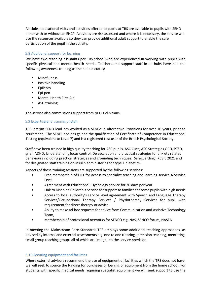All clubs, educational visits and activities offered to pupils at TRS are available to pupils with SEND either with or without an EHCP. Activities are risk assessed and where it is necessary, the service will use the resources available so they can provide additional adult support to enable the safe participation of the pupil in the activity.

## 5.8 Additional support for learning

We have two teaching assistants per TRS school who are experienced in working with pupils with specific physical and mental health needs. Teachers and support staff in all hubs have had the following awareness training as the need dictates;

- **Mindfulness**
- Positive handling
- Epilepsy
- Epi-pen
- Mental Health First Aid
- ASD training

• The service also commissions support from NELFT clinicians

#### 5.9 Expertise and training of staff

TRS interim SEND lead has worked as a SENCo in Alternative Provisions for over 10 years, prior to retirement. The SEND lead has gained the qualification of Certificate of Competence in Educational Testing (equivalent to Level 7) and is a registered test user of the British Psychological Society.

Staff have been trained in high quality teaching for ASC pupils, ASC Cues, ASC Strategies,OCD, PTSD, grief, ADHD, Understanding locus control, De escalation and practical strategies for anxiety related behaviours including practical strategies and grounding techniques. Safeguarding , KCSIE 2021 and for designated staff training on insulin administering for type 1 diabetics.

Aspects of those training sessions are supported by the following services:

- Free membership of LIFT for access to specialist teaching and learning service A Service Level
- Agreement with Educational Psychology service for 30 days per year
- Link to Disabled Children's Service for support to families for some pupils with high needs
- Access to local authority's service level agreement with Speech and Language Therapy Services/Occupational Therapy Services / Physiotherapy Services for pupil with requirement for direct therapy or advice
- Ability to make ad-hoc requests for advice from Communication and Assistive Technology Team,
- Membership of professional networks for SENCO e.g. NAS, SENCO forum, NASEN

In meeting the Mainstream Core Standards TRS employs some additional teaching approaches, as advised by internal and external assessments e.g. one to one tutoring, precision teaching, mentoring, small group teaching groups all of which are integral to the service provision.

#### **5.10 Securing equipment and facilities**

Where external advisors recommend the use of equipment or facilities which the TRS does not have, we will seek to source the funding for purchases or loaning of equipment from the home school. For students with specific medical needs requiring specialist equipment we will seek support to use the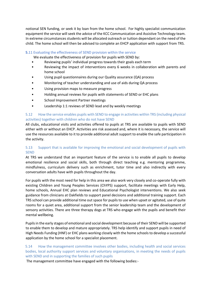notional SEN funding, or seek it by loan from the home school. For highly specialist communication equipment the service will seek the advice of the KCC Communication and Assistive Technology team. In extreme circumstances students will be allocated outreach or tuition dependant on the need of the child. The home school will then be advised to complete an EHCP application with support from TRS.

## **5.**11 Evaluating the effectiveness of SEND provision within the service

We evaluate the effectiveness of provision for pupils with SEND by:

- Reviewing pupils' individual progress towards their goals each term
- Reviewing the impact of interventions every 6 weeks in collaboration with parents and home school
- Using pupil questionnaires during our Quality assurance (QA) process
- Monitoring of teacher understanding and use of aids during QA process
- Using provision maps to measure progress
- Holding annual reviews for pupils with statements of SEND or EHC plans
- School Improvement Partner meetings
- Leadership 1:1 reviews of SEND lead and by weekly meetings

## 5.12 How the service enables pupils with SEND to engage in activities within TRS (including physical activities) together with children who do not have SEND

All clubs, educational visits and activities offered to pupils at TRS are available to pupils with SEND either with or without an EHCP. Activities are risk assessed and, where it is necessary, the service will use the resources available to it to provide additional adult support to enable the safe participation in the activity.

# 5.13 Support that is available for improving the emotional and social development of pupils with **SEND**

At TRS we understand that an important feature of the service is to enable all pupils to develop emotional resilience and social skills, both through direct teaching e.g. mentoring programme, mindfulness, curriculum delivery such as enrichment, tutor time and also indirectly with every conversation adults have with pupils throughout the day.

For pupils with the most need for help in this area we also work very closely and co-operate fully with existing Children and Young Peoples Services (ChYPS) support, facilitate meetings with Early Help, home schools, Annual EHC plan reviews and Educational Psychologist interventions. We also seek guidance from clinicians at Oakfields to support panel decisions and additional training support. Each TRS school can provide additional time out space for pupils to use when upset or agitated, use of quite rooms for a quiet area, additional support from the senior leadership team and the development of sensory activities. There are three therapy dogs at TRS who engage with the pupils and benefit their mental wellbeing.

Pupils in the early stages of emotional and social development because of their SEND will be supported to enable them to develop and mature appropriately. TRS help identify and support pupils in need of High Needs Funding (HNF) or EHC plans working closely with the home schools to develop a successful application by the home school for a specialist placement.

# 5.14 How the management committee involves other bodies, including health and social services bodies, local authority support services and voluntary organisations, in meeting the needs of pupils with SEND and in supporting the families of such pupils

The management committee have engaged with the following bodies:-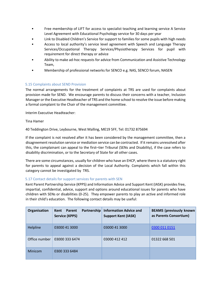- Free membership of LIFT for access to specialist teaching and learning service A Service Level Agreement with Educational Psychology service for 30 days per year
- Link to Disabled Children's Service for support to families for some pupils with high needs
- Access to local authority's service level agreement with Speech and Language Therapy Services/Occupational Therapy Services/Physiotherapy Services for pupil with requirement for direct therapy or advice
- Ability to make ad-hoc requests for advice from Communication and Assistive Technology Team,
- Membership of professional networks for SENCO e.g. NAS, SENCO forum, NASEN

# 5.15 Complaints about SEND Provision

The normal arrangements for the treatment of complaints at TRS are used for complaints about provision made for SEND. We encourage parents to discuss their concerns with a teacher, Inclusion Manager or the Executive Headteacher of TRS and the home school to resolve the issue before making a formal complaint to the Chair of the management committee.

Interim Executive Headteacher:

Tina Hamer

40 Teddington Drive, Leybourne, West Malling, ME19 5FF, Tel: 01732 875694

If the complaint is not resolved after it has been considered by the management committee, then a disagreement resolution service or mediation service can be contracted. If it remains unresolved after this, the complainant can appeal to the first–tier Tribunal (SENs and Disability), if the case refers to disability discrimination, or to the Secretary of State for all other cases.

There are some circumstances, usually for children who have an EHCP, where there is a statutory right for parents to appeal against a decision of the Local Authority. Complaints which fall within this category cannot be investigated by TRS.

#### 5.17 Contact details for support services for parents with SEN

Kent Parent Partnership Service (KPPS) and Information Advice and Support Kent (IASK) provides free, impartial, confidential, advice, support and options around educational issues for parents who have children with SENs or disabilities (0-25). They empower parents to play an active and informed role in their child's education. The following contact details may be useful:

| Organisation   | Partnership<br>Parent<br>Kent<br><b>Service (KPPS)</b> | <b>Information Advice and</b><br><b>Support Kent (IASK)</b> | <b>BEAMS</b> (previously known<br>as Parents Consortium) |
|----------------|--------------------------------------------------------|-------------------------------------------------------------|----------------------------------------------------------|
| Helpline       | 03000 41 3000                                          | 03000 41 3000                                               | 0300 011 0151                                            |
| Office number  | 03000 333 6474                                         | 03000 412 412                                               | 01322 668 501                                            |
| <b>Minicom</b> | 0300 333 6484                                          |                                                             |                                                          |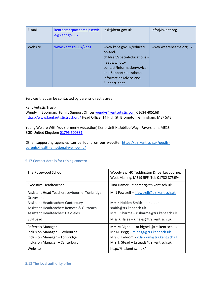| E-mail  | kentparentpartnershipservic<br>e@kent.gov.uk | iask@kent.gov.uk                                                                                                                                                                     | info@iskent.org       |
|---------|----------------------------------------------|--------------------------------------------------------------------------------------------------------------------------------------------------------------------------------------|-----------------------|
| Website | www.kent.gov.uk/kpps                         | www.kent.gov.uk/educati<br>on-and-<br>children/specialeducational-<br>needs/whoto-<br>contact/InformationAdvice-<br>and-SupportKent/about-<br>InformationAdvice-and-<br>Support-Kent | www.wearebeams.org.uk |

Services that can be contacted by parents directly are :

Kent Autistic Trust-

Wendy Boorman: Family Support Officer wendy@kentsutistic.com 01634 405168 <https://www.kentautistictrust.org/> Head Office: 14 High St, Brompton, Gillingham, ME7 5AE

Young We are With You (formerly Addaction) Kent- Unit H, Jubilee Way, Faversham, ME13 8GD United Kingdom 01795 500881

Other supporting agencies can be found on our website: [https://trs.kent.sch.uk/pupils](https://trs.kent.sch.uk/pupils-parents/health-emotional-well-being/)[parents/health-emotional-well-being/](https://trs.kent.sch.uk/pupils-parents/health-emotional-well-being/)

# 5.17 Contact details for raising concern

| The Rosewood School                                        | Woodview, 40 Teddington Drive, Leybourne,<br>West Malling, ME19 5FF. Tel: 01732 875694 |  |
|------------------------------------------------------------|----------------------------------------------------------------------------------------|--|
| <b>Executive Headteacher</b>                               | Tina Hamer - t.hamer@trs.kent.sch.uk                                                   |  |
| Assistant Head Teacher: Leybourne, Tonbridge,<br>Gravesend | Mr J Fewtrell - j.fewtrell@trs.kent.sch.uk                                             |  |
| Assistant Headteacher: Canterbury                          | Mrs K Holden-Smith $-$ k holden-                                                       |  |
| Assistant Headteacher: Remote & Outreach                   | smith@trs.kent.sch.uk                                                                  |  |
| Assistant Headteacher: Oakfields                           | Mrs R Sharma - r.sharma@trs.kent.sch.uk                                                |  |
| <b>SEN Lead</b>                                            | Miss K Hales - k.hales@trs.kent.sch.uk                                                 |  |
| Referrals Manager                                          | Mrs M Bignell - m.bignell@trs.kent.sch.uk                                              |  |
| Inclusion Manager - Leybourne                              | Mr M. Pegg - m.pegg@trs.kent.sch.uk                                                    |  |
| Inclusion Manager - Tonbridge                              | Mrs C. Labrom - c.labrom@trs.kent.sch.uk                                               |  |
| Inclusion Manager - Canterbury                             | Mrs T. Stead - t.stead@trs.kent.sch.uk                                                 |  |
| Website                                                    | http://trs.kent.sch.uk/                                                                |  |

#### 5.18 The local authority offer